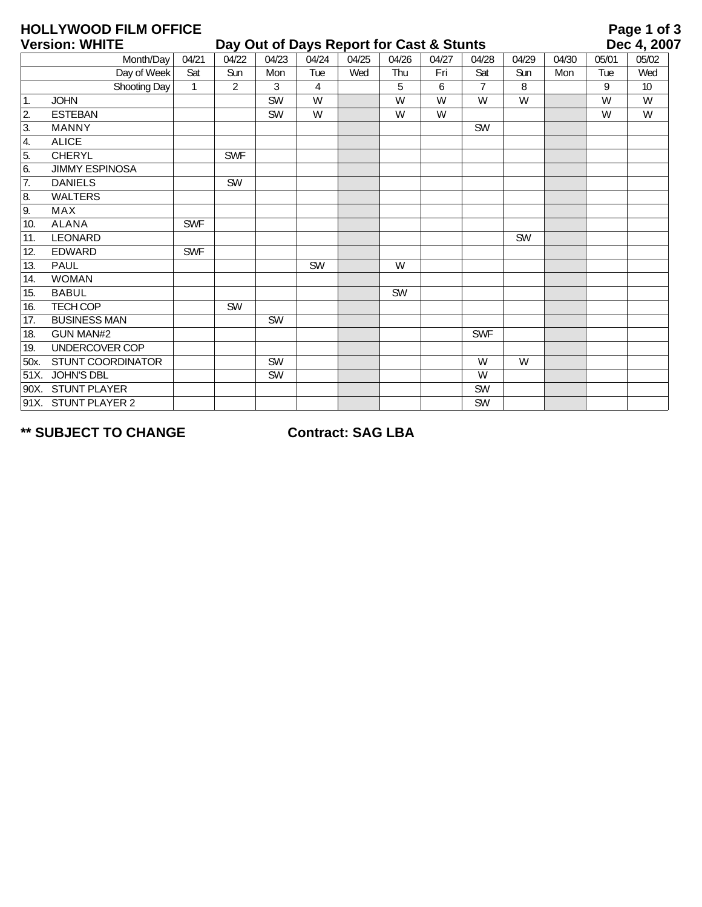|                                                                   | <b>HOLLYWOOD FILM OFFICE</b> |              |            |           |       |       |       |       |                |       |       |             | Page 1 of 3 |
|-------------------------------------------------------------------|------------------------------|--------------|------------|-----------|-------|-------|-------|-------|----------------|-------|-------|-------------|-------------|
| <b>Version: WHITE</b><br>Day Out of Days Report for Cast & Stunts |                              |              |            |           |       |       |       |       |                |       |       | Dec 4, 2007 |             |
|                                                                   | Month/Day                    | 04/21        | 04/22      | 04/23     | 04/24 | 04/25 | 04/26 | 04/27 | 04/28          | 04/29 | 04/30 | 05/01       | 05/02       |
|                                                                   | Day of Week                  | Sat          | Sun        | Mon       | Tue   | Wed   | Thu   | Fri   | Sat            | Sun   | Mon   | Tue         | Wed         |
|                                                                   | Shooting Day                 | $\mathbf{1}$ | 2          | 3         | 4     |       | 5     | 6     | $\overline{7}$ | 8     |       | 9           | 10          |
| $\overline{1}$ .                                                  | <b>JOHN</b>                  |              |            | SW        | W     |       | W     | W     | W              | W     |       | W           | W           |
| 2.                                                                | <b>ESTEBAN</b>               |              |            | SW        | W     |       | W     | W     |                |       |       | W           | W           |
| 3.                                                                | <b>MANNY</b>                 |              |            |           |       |       |       |       | <b>SW</b>      |       |       |             |             |
| 4.                                                                | <b>ALICE</b>                 |              |            |           |       |       |       |       |                |       |       |             |             |
| 5.                                                                | <b>CHERYL</b>                |              | <b>SWF</b> |           |       |       |       |       |                |       |       |             |             |
| 6.                                                                | <b>JIMMY ESPINOSA</b>        |              |            |           |       |       |       |       |                |       |       |             |             |
| 7.                                                                | <b>DANIELS</b>               |              | SW         |           |       |       |       |       |                |       |       |             |             |
| 8.                                                                | <b>WALTERS</b>               |              |            |           |       |       |       |       |                |       |       |             |             |
| 9.                                                                | <b>MAX</b>                   |              |            |           |       |       |       |       |                |       |       |             |             |
| 10.                                                               | <b>ALANA</b>                 | <b>SWF</b>   |            |           |       |       |       |       |                |       |       |             |             |
| 11.                                                               | <b>LEONARD</b>               |              |            |           |       |       |       |       |                | SW    |       |             |             |
| 12.                                                               | <b>EDWARD</b>                | <b>SWF</b>   |            |           |       |       |       |       |                |       |       |             |             |
| 13.                                                               | <b>PAUL</b>                  |              |            |           | SW    |       | W     |       |                |       |       |             |             |
| 14.                                                               | <b>WOMAN</b>                 |              |            |           |       |       |       |       |                |       |       |             |             |
| 15.                                                               | <b>BABUL</b>                 |              |            |           |       |       | SW    |       |                |       |       |             |             |
| 16.                                                               | <b>TECH COP</b>              |              | <b>SW</b>  |           |       |       |       |       |                |       |       |             |             |
| 17.                                                               | <b>BUSINESS MAN</b>          |              |            | SW        |       |       |       |       |                |       |       |             |             |
| 18.                                                               | <b>GUN MAN#2</b>             |              |            |           |       |       |       |       | <b>SWF</b>     |       |       |             |             |
| 19.                                                               | UNDERCOVER COP               |              |            |           |       |       |       |       |                |       |       |             |             |
| 50x.                                                              | <b>STUNT COORDINATOR</b>     |              |            | SW        |       |       |       |       | W              | W     |       |             |             |
| 51X.                                                              | <b>JOHN'S DBL</b>            |              |            | <b>SW</b> |       |       |       |       | W              |       |       |             |             |
| 90X.                                                              | <b>STUNT PLAYER</b>          |              |            |           |       |       |       |       | <b>SW</b>      |       |       |             |             |
|                                                                   | 91X. STUNT PLAYER 2          |              |            |           |       |       |       |       | SW             |       |       |             |             |

**\*\* SUBJECT TO CHANGE Contract: SAG LBA**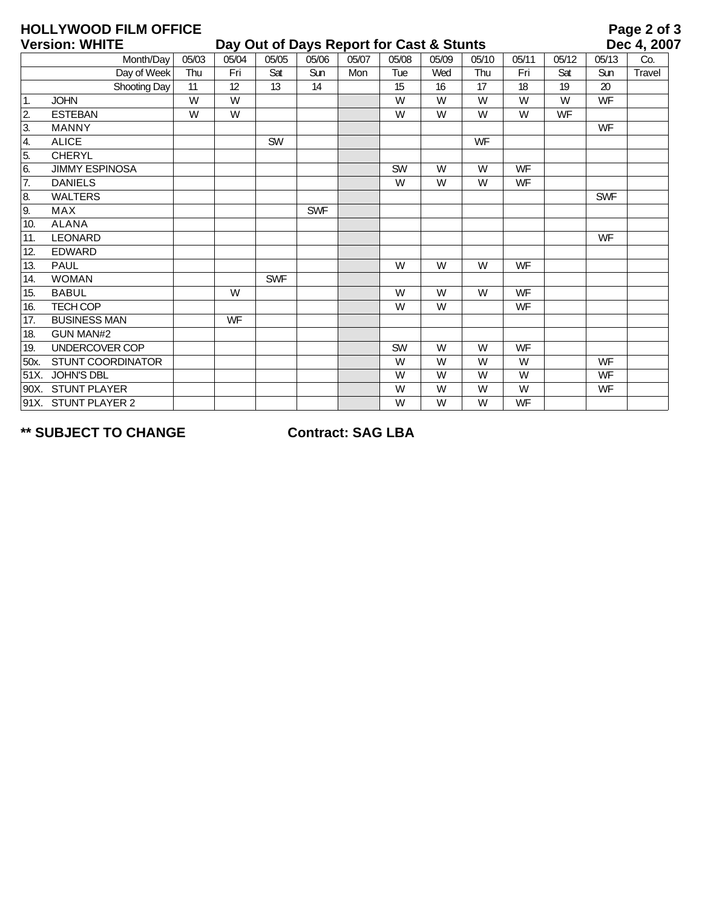## **HOLLYWOOD FILM OFFICE**

| <b>Version: WHITE</b> |                       |       | Day Out of Days Report for Cast & Stunts |            |            |       |       |       |           |           | Dec 4, 200 |            |        |
|-----------------------|-----------------------|-------|------------------------------------------|------------|------------|-------|-------|-------|-----------|-----------|------------|------------|--------|
|                       | Month/Day             | 05/03 | 05/04                                    | 05/05      | 05/06      | 05/07 | 05/08 | 05/09 | 05/10     | 05/11     | 05/12      | 05/13      | Co.    |
|                       | Day of Week           | Thu   | Fri                                      | Sat        | Sun        | Mon   | Tue   | Wed   | Thu       | Fri       | Sat        | Sun        | Travel |
|                       | Shooting Day          | 11    | 12                                       | 13         | 14         |       | 15    | 16    | 17        | 18        | 19         | 20         |        |
| 1.                    | <b>JOHN</b>           | W     | W                                        |            |            |       | W     | W     | W         | W         | W          | <b>WF</b>  |        |
| $\overline{2}$        | <b>ESTEBAN</b>        | W     | W                                        |            |            |       | W     | W     | W         | W         | <b>WF</b>  |            |        |
| $\overline{3}$ .      | <b>MANNY</b>          |       |                                          |            |            |       |       |       |           |           |            | <b>WF</b>  |        |
| 4.                    | <b>ALICE</b>          |       |                                          | <b>SW</b>  |            |       |       |       | <b>WF</b> |           |            |            |        |
| $\overline{5}$ .      | <b>CHERYL</b>         |       |                                          |            |            |       |       |       |           |           |            |            |        |
| 6.                    | <b>JIMMY ESPINOSA</b> |       |                                          |            |            |       | SW    | W     | W         | <b>WF</b> |            |            |        |
| $\overline{7}$ .      | <b>DANIELS</b>        |       |                                          |            |            |       | W     | W     | W         | <b>WF</b> |            |            |        |
| $\overline{8}$        | <b>WALTERS</b>        |       |                                          |            |            |       |       |       |           |           |            | <b>SWF</b> |        |
| 9.                    | <b>MAX</b>            |       |                                          |            | <b>SWF</b> |       |       |       |           |           |            |            |        |
| 10.                   | <b>ALANA</b>          |       |                                          |            |            |       |       |       |           |           |            |            |        |
| 11.                   | <b>LEONARD</b>        |       |                                          |            |            |       |       |       |           |           |            | <b>WF</b>  |        |
| 12.                   | <b>EDWARD</b>         |       |                                          |            |            |       |       |       |           |           |            |            |        |
| 13.                   | <b>PAUL</b>           |       |                                          |            |            |       | W     | W     | W         | <b>WF</b> |            |            |        |
| 14.                   | <b>WOMAN</b>          |       |                                          | <b>SWF</b> |            |       |       |       |           |           |            |            |        |
| 15.                   | <b>BABUL</b>          |       | W                                        |            |            |       | W     | W     | W         | <b>WF</b> |            |            |        |
| 16.                   | <b>TECH COP</b>       |       |                                          |            |            |       | W     | W     |           | WF        |            |            |        |
| 17.                   | <b>BUSINESS MAN</b>   |       | WF                                       |            |            |       |       |       |           |           |            |            |        |
| 18.                   | <b>GUN MAN#2</b>      |       |                                          |            |            |       |       |       |           |           |            |            |        |
| 19.                   | UNDERCOVER COP        |       |                                          |            |            |       | SW    | W     | W         | <b>WF</b> |            |            |        |
| 50x.                  | STUNT COORDINATOR     |       |                                          |            |            |       | W     | W     | W         | W         |            | <b>WF</b>  |        |
| 51X.                  | JOHN'S DBL            |       |                                          |            |            |       | W     | W     | W         | W         |            | <b>WF</b>  |        |
|                       | 90X. STUNT PLAYER     |       |                                          |            |            |       | W     | W     | W         | W         |            | <b>WF</b>  |        |
|                       | 91X. STUNT PLAYER 2   |       |                                          |            |            |       | W     | W     | W         | <b>WF</b> |            |            |        |

**\*\* SUBJECT TO CHANGE Contract: SAG LBA**